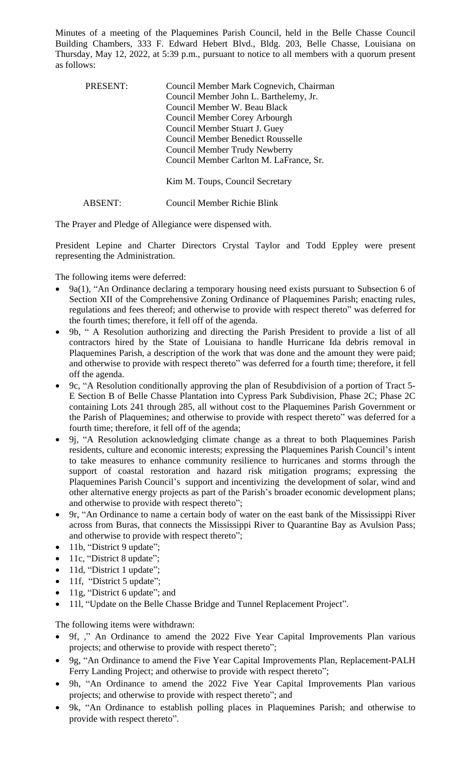Minutes of a meeting of the Plaquemines Parish Council, held in the Belle Chasse Council Building Chambers, 333 F. Edward Hebert Blvd., Bldg. 203, Belle Chasse, Louisiana on Thursday, May 12, 2022, at 5:39 p.m., pursuant to notice to all members with a quorum present as follows:

| <b>PRESENT:</b> | Council Member Mark Cognevich, Chairman<br>Council Member John L. Barthelemy, Jr.<br>Council Member W. Beau Black<br>Council Member Corey Arbourgh<br>Council Member Stuart J. Guey<br><b>Council Member Benedict Rousselle</b><br>Council Member Trudy Newberry<br>Council Member Carlton M. LaFrance, Sr. |
|-----------------|-------------------------------------------------------------------------------------------------------------------------------------------------------------------------------------------------------------------------------------------------------------------------------------------------------------|
|                 | Kim M. Toups, Council Secretary                                                                                                                                                                                                                                                                             |
|                 | Council Member Richie Blink                                                                                                                                                                                                                                                                                 |

The Prayer and Pledge of Allegiance were dispensed with.

President Lepine and Charter Directors Crystal Taylor and Todd Eppley were present representing the Administration.

The following items were deferred:

- 9a(1), "An Ordinance declaring a temporary housing need exists pursuant to Subsection 6 of Section XII of the Comprehensive Zoning Ordinance of Plaquemines Parish; enacting rules, regulations and fees thereof; and otherwise to provide with respect thereto" was deferred for the fourth times; therefore, it fell off of the agenda.
- 9b, " A Resolution authorizing and directing the Parish President to provide a list of all contractors hired by the State of Louisiana to handle Hurricane Ida debris removal in Plaquemines Parish, a description of the work that was done and the amount they were paid; and otherwise to provide with respect thereto" was deferred for a fourth time; therefore, it fell off the agenda.
- 9c, "A Resolution conditionally approving the plan of Resubdivision of a portion of Tract 5- E Section B of Belle Chasse Plantation into Cypress Park Subdivision, Phase 2C; Phase 2C containing Lots 241 through 285, all without cost to the Plaquemines Parish Government or the Parish of Plaquemines; and otherwise to provide with respect thereto" was deferred for a fourth time; therefore, it fell off of the agenda;
- 9j, "A Resolution acknowledging climate change as a threat to both Plaquemines Parish residents, culture and economic interests; expressing the Plaquemines Parish Council's intent to take measures to enhance community resilience to hurricanes and storms through the support of coastal restoration and hazard risk mitigation programs; expressing the Plaquemines Parish Council's support and incentivizing the development of solar, wind and other alternative energy projects as part of the Parish's broader economic development plans; and otherwise to provide with respect thereto";
- 9r, "An Ordinance to name a certain body of water on the east bank of the Mississippi River across from Buras, that connects the Mississippi River to Quarantine Bay as Avulsion Pass; and otherwise to provide with respect thereto";
- 11b, "District 9 update";
- 11c, "District 8 update";
- 11d, "District 1 update";
- 11f, "District 5 update";
- 11g, "District 6 update"; and
- 11l, "Update on the Belle Chasse Bridge and Tunnel Replacement Project".

The following items were withdrawn:

- 9f, ," An Ordinance to amend the 2022 Five Year Capital Improvements Plan various projects; and otherwise to provide with respect thereto";
- 9g, "An Ordinance to amend the Five Year Capital Improvements Plan, Replacement-PALH Ferry Landing Project; and otherwise to provide with respect thereto";
- 9h, "An Ordinance to amend the 2022 Five Year Capital Improvements Plan various projects; and otherwise to provide with respect thereto"; and
- 9k, "An Ordinance to establish polling places in Plaquemines Parish; and otherwise to provide with respect thereto".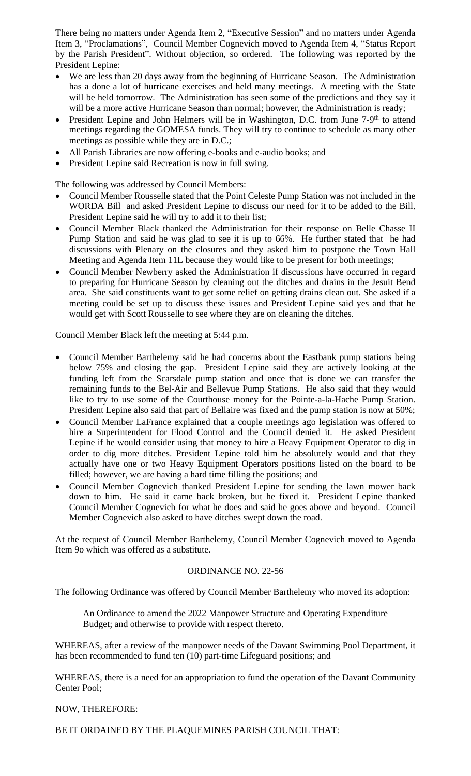There being no matters under Agenda Item 2, "Executive Session" and no matters under Agenda Item 3, "Proclamations", Council Member Cognevich moved to Agenda Item 4, "Status Report by the Parish President". Without objection, so ordered. The following was reported by the President Lepine:

- We are less than 20 days away from the beginning of Hurricane Season. The Administration has a done a lot of hurricane exercises and held many meetings. A meeting with the State will be held tomorrow. The Administration has seen some of the predictions and they say it will be a more active Hurricane Season than normal; however, the Administration is ready;
- President Lepine and John Helmers will be in Washington, D.C. from June 7-9<sup>th</sup> to attend meetings regarding the GOMESA funds. They will try to continue to schedule as many other meetings as possible while they are in D.C.;
- All Parish Libraries are now offering e-books and e-audio books; and
- President Lepine said Recreation is now in full swing.

The following was addressed by Council Members:

- Council Member Rousselle stated that the Point Celeste Pump Station was not included in the WORDA Bill and asked President Lepine to discuss our need for it to be added to the Bill. President Lepine said he will try to add it to their list;
- Council Member Black thanked the Administration for their response on Belle Chasse II Pump Station and said he was glad to see it is up to 66%. He further stated that he had discussions with Plenary on the closures and they asked him to postpone the Town Hall Meeting and Agenda Item 11L because they would like to be present for both meetings;
- Council Member Newberry asked the Administration if discussions have occurred in regard to preparing for Hurricane Season by cleaning out the ditches and drains in the Jesuit Bend area. She said constituents want to get some relief on getting drains clean out. She asked if a meeting could be set up to discuss these issues and President Lepine said yes and that he would get with Scott Rousselle to see where they are on cleaning the ditches.

Council Member Black left the meeting at 5:44 p.m.

- Council Member Barthelemy said he had concerns about the Eastbank pump stations being below 75% and closing the gap. President Lepine said they are actively looking at the funding left from the Scarsdale pump station and once that is done we can transfer the remaining funds to the Bel-Air and Bellevue Pump Stations. He also said that they would like to try to use some of the Courthouse money for the Pointe-a-la-Hache Pump Station. President Lepine also said that part of Bellaire was fixed and the pump station is now at 50%;
- Council Member LaFrance explained that a couple meetings ago legislation was offered to hire a Superintendent for Flood Control and the Council denied it. He asked President Lepine if he would consider using that money to hire a Heavy Equipment Operator to dig in order to dig more ditches. President Lepine told him he absolutely would and that they actually have one or two Heavy Equipment Operators positions listed on the board to be filled; however, we are having a hard time filling the positions; and
- Council Member Cognevich thanked President Lepine for sending the lawn mower back down to him. He said it came back broken, but he fixed it. President Lepine thanked Council Member Cognevich for what he does and said he goes above and beyond. Council Member Cognevich also asked to have ditches swept down the road.

At the request of Council Member Barthelemy, Council Member Cognevich moved to Agenda Item 9o which was offered as a substitute.

## ORDINANCE NO. 22-56

The following Ordinance was offered by Council Member Barthelemy who moved its adoption:

An Ordinance to amend the 2022 Manpower Structure and Operating Expenditure Budget; and otherwise to provide with respect thereto.

WHEREAS, after a review of the manpower needs of the Davant Swimming Pool Department, it has been recommended to fund ten (10) part-time Lifeguard positions; and

WHEREAS, there is a need for an appropriation to fund the operation of the Davant Community Center Pool;

### NOW, THEREFORE:

BE IT ORDAINED BY THE PLAQUEMINES PARISH COUNCIL THAT: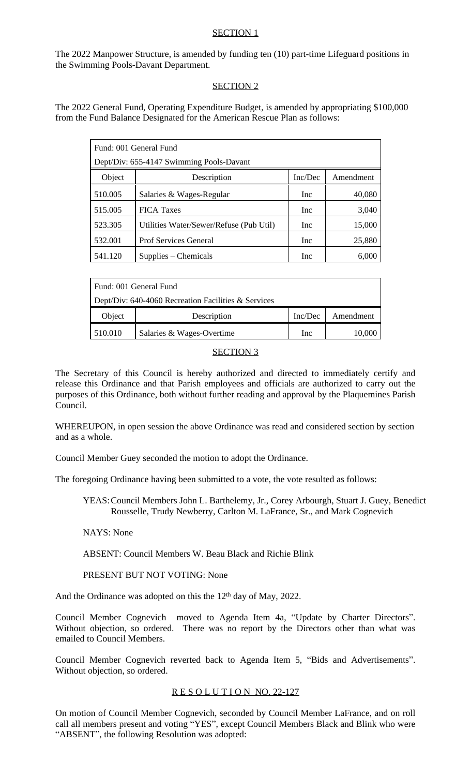# SECTION 1

The 2022 Manpower Structure, is amended by funding ten (10) part-time Lifeguard positions in the Swimming Pools-Davant Department.

# SECTION 2

The 2022 General Fund, Operating Expenditure Budget, is amended by appropriating \$100,000 from the Fund Balance Designated for the American Rescue Plan as follows:

| Fund: 001 General Fund                   |                                         |            |           |
|------------------------------------------|-----------------------------------------|------------|-----------|
| Dept/Div: 655-4147 Swimming Pools-Davant |                                         |            |           |
| Object                                   | Description                             | Inc/Dec    | Amendment |
| 510.005                                  | Salaries & Wages-Regular                | <b>Inc</b> | 40,080    |
| 515.005                                  | <b>FICA Taxes</b>                       | Inc        | 3,040     |
| 523.305                                  | Utilities Water/Sewer/Refuse (Pub Util) | Inc        | 15,000    |
| 532.001                                  | <b>Prof Services General</b>            | <b>Inc</b> | 25,880    |
| 541.120                                  | Supplies – Chemicals                    | Inc        | 6,000     |

| Fund: 001 General Fund                              |                           |         |           |
|-----------------------------------------------------|---------------------------|---------|-----------|
| Dept/Div: 640-4060 Recreation Facilities & Services |                           |         |           |
| Object                                              | Description               | Inc/Dec | Amendment |
| 510.010                                             | Salaries & Wages-Overtime | Inc     | 10,000    |

# SECTION 3

The Secretary of this Council is hereby authorized and directed to immediately certify and release this Ordinance and that Parish employees and officials are authorized to carry out the purposes of this Ordinance, both without further reading and approval by the Plaquemines Parish Council.

WHEREUPON, in open session the above Ordinance was read and considered section by section and as a whole.

Council Member Guey seconded the motion to adopt the Ordinance.

The foregoing Ordinance having been submitted to a vote, the vote resulted as follows:

YEAS:Council Members John L. Barthelemy, Jr., Corey Arbourgh, Stuart J. Guey, Benedict Rousselle, Trudy Newberry, Carlton M. LaFrance, Sr., and Mark Cognevich

NAYS: None

ABSENT: Council Members W. Beau Black and Richie Blink

PRESENT BUT NOT VOTING: None

And the Ordinance was adopted on this the 12<sup>th</sup> day of May, 2022.

Council Member Cognevich moved to Agenda Item 4a, "Update by Charter Directors". Without objection, so ordered. There was no report by the Directors other than what was emailed to Council Members.

Council Member Cognevich reverted back to Agenda Item 5, "Bids and Advertisements". Without objection, so ordered.

## RESOLUTION NO. 22-127

On motion of Council Member Cognevich, seconded by Council Member LaFrance, and on roll call all members present and voting "YES", except Council Members Black and Blink who were "ABSENT", the following Resolution was adopted: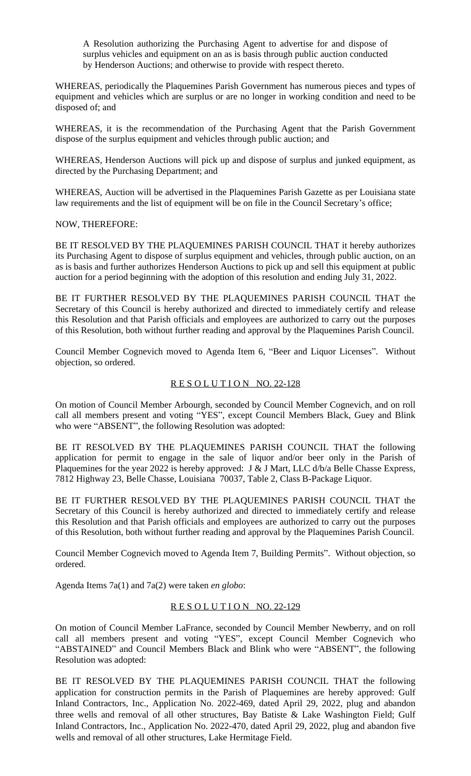A Resolution authorizing the Purchasing Agent to advertise for and dispose of surplus vehicles and equipment on an as is basis through public auction conducted by Henderson Auctions; and otherwise to provide with respect thereto.

WHEREAS, periodically the Plaquemines Parish Government has numerous pieces and types of equipment and vehicles which are surplus or are no longer in working condition and need to be disposed of; and

WHEREAS, it is the recommendation of the Purchasing Agent that the Parish Government dispose of the surplus equipment and vehicles through public auction; and

WHEREAS, Henderson Auctions will pick up and dispose of surplus and junked equipment, as directed by the Purchasing Department; and

WHEREAS, Auction will be advertised in the Plaquemines Parish Gazette as per Louisiana state law requirements and the list of equipment will be on file in the Council Secretary's office;

NOW, THEREFORE:

BE IT RESOLVED BY THE PLAQUEMINES PARISH COUNCIL THAT it hereby authorizes its Purchasing Agent to dispose of surplus equipment and vehicles, through public auction, on an as is basis and further authorizes Henderson Auctions to pick up and sell this equipment at public auction for a period beginning with the adoption of this resolution and ending July 31, 2022.

BE IT FURTHER RESOLVED BY THE PLAQUEMINES PARISH COUNCIL THAT the Secretary of this Council is hereby authorized and directed to immediately certify and release this Resolution and that Parish officials and employees are authorized to carry out the purposes of this Resolution, both without further reading and approval by the Plaquemines Parish Council.

Council Member Cognevich moved to Agenda Item 6, "Beer and Liquor Licenses". Without objection, so ordered.

## R E S O L U T I O N NO. 22-128

On motion of Council Member Arbourgh, seconded by Council Member Cognevich, and on roll call all members present and voting "YES", except Council Members Black, Guey and Blink who were "ABSENT", the following Resolution was adopted:

BE IT RESOLVED BY THE PLAQUEMINES PARISH COUNCIL THAT the following application for permit to engage in the sale of liquor and/or beer only in the Parish of Plaquemines for the year 2022 is hereby approved: J & J Mart, LLC d/b/a Belle Chasse Express, 7812 Highway 23, Belle Chasse, Louisiana 70037, Table 2, Class B-Package Liquor.

BE IT FURTHER RESOLVED BY THE PLAQUEMINES PARISH COUNCIL THAT the Secretary of this Council is hereby authorized and directed to immediately certify and release this Resolution and that Parish officials and employees are authorized to carry out the purposes of this Resolution, both without further reading and approval by the Plaquemines Parish Council.

Council Member Cognevich moved to Agenda Item 7, Building Permits". Without objection, so ordered.

Agenda Items 7a(1) and 7a(2) were taken *en globo*:

## RESOLUTION NO. 22-129

On motion of Council Member LaFrance, seconded by Council Member Newberry, and on roll call all members present and voting "YES", except Council Member Cognevich who "ABSTAINED" and Council Members Black and Blink who were "ABSENT", the following Resolution was adopted:

BE IT RESOLVED BY THE PLAQUEMINES PARISH COUNCIL THAT the following application for construction permits in the Parish of Plaquemines are hereby approved: Gulf Inland Contractors, Inc., Application No. 2022-469, dated April 29, 2022, plug and abandon three wells and removal of all other structures, Bay Batiste & Lake Washington Field; Gulf Inland Contractors, Inc., Application No. 2022-470, dated April 29, 2022, plug and abandon five wells and removal of all other structures, Lake Hermitage Field.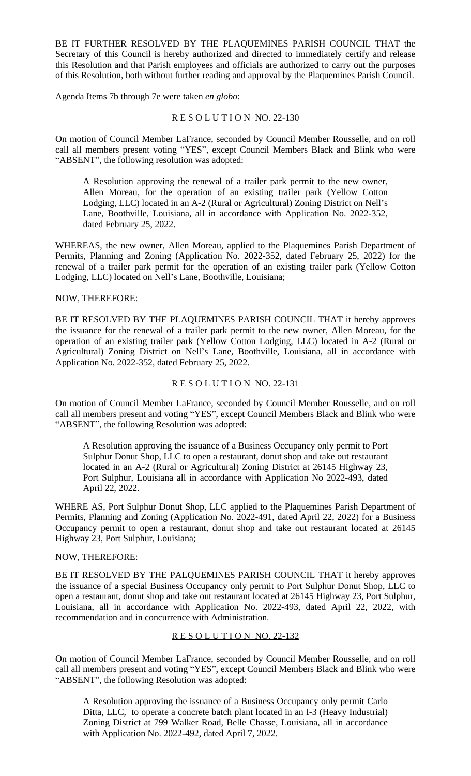BE IT FURTHER RESOLVED BY THE PLAQUEMINES PARISH COUNCIL THAT the Secretary of this Council is hereby authorized and directed to immediately certify and release this Resolution and that Parish employees and officials are authorized to carry out the purposes of this Resolution, both without further reading and approval by the Plaquemines Parish Council.

Agenda Items 7b through 7e were taken *en globo*:

### RESOLUTION NO. 22-130

On motion of Council Member LaFrance, seconded by Council Member Rousselle, and on roll call all members present voting "YES", except Council Members Black and Blink who were "ABSENT", the following resolution was adopted:

A Resolution approving the renewal of a trailer park permit to the new owner, Allen Moreau, for the operation of an existing trailer park (Yellow Cotton Lodging, LLC) located in an A-2 (Rural or Agricultural) Zoning District on Nell's Lane, Boothville, Louisiana, all in accordance with Application No. 2022-352, dated February 25, 2022.

WHEREAS, the new owner, Allen Moreau, applied to the Plaquemines Parish Department of Permits, Planning and Zoning (Application No. 2022-352, dated February 25, 2022) for the renewal of a trailer park permit for the operation of an existing trailer park (Yellow Cotton Lodging, LLC) located on Nell's Lane, Boothville, Louisiana;

#### NOW, THEREFORE:

BE IT RESOLVED BY THE PLAQUEMINES PARISH COUNCIL THAT it hereby approves the issuance for the renewal of a trailer park permit to the new owner, Allen Moreau, for the operation of an existing trailer park (Yellow Cotton Lodging, LLC) located in A-2 (Rural or Agricultural) Zoning District on Nell's Lane, Boothville, Louisiana, all in accordance with Application No. 2022-352, dated February 25, 2022.

#### R E S O L U T I O N NO. 22-131

On motion of Council Member LaFrance, seconded by Council Member Rousselle, and on roll call all members present and voting "YES", except Council Members Black and Blink who were "ABSENT", the following Resolution was adopted:

A Resolution approving the issuance of a Business Occupancy only permit to Port Sulphur Donut Shop, LLC to open a restaurant, donut shop and take out restaurant located in an A-2 (Rural or Agricultural) Zoning District at 26145 Highway 23, Port Sulphur, Louisiana all in accordance with Application No 2022-493, dated April 22, 2022.

WHERE AS, Port Sulphur Donut Shop, LLC applied to the Plaquemines Parish Department of Permits, Planning and Zoning (Application No. 2022-491, dated April 22, 2022) for a Business Occupancy permit to open a restaurant, donut shop and take out restaurant located at 26145 Highway 23, Port Sulphur, Louisiana;

#### NOW, THEREFORE:

BE IT RESOLVED BY THE PALQUEMINES PARISH COUNCIL THAT it hereby approves the issuance of a special Business Occupancy only permit to Port Sulphur Donut Shop, LLC to open a restaurant, donut shop and take out restaurant located at 26145 Highway 23, Port Sulphur, Louisiana, all in accordance with Application No. 2022-493, dated April 22, 2022, with recommendation and in concurrence with Administration.

## R E S O L U T I O N NO. 22-132

On motion of Council Member LaFrance, seconded by Council Member Rousselle, and on roll call all members present and voting "YES", except Council Members Black and Blink who were "ABSENT", the following Resolution was adopted:

A Resolution approving the issuance of a Business Occupancy only permit Carlo Ditta, LLC, to operate a concrete batch plant located in an I-3 (Heavy Industrial) Zoning District at 799 Walker Road, Belle Chasse, Louisiana, all in accordance with Application No. 2022-492, dated April 7, 2022.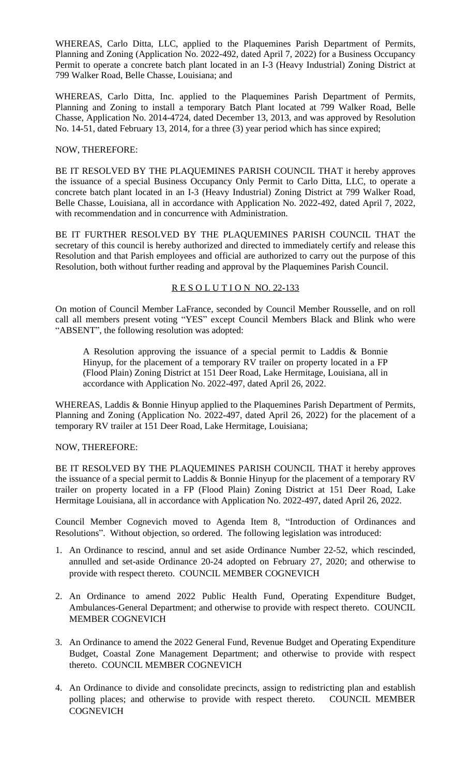WHEREAS, Carlo Ditta, LLC, applied to the Plaquemines Parish Department of Permits, Planning and Zoning (Application No. 2022-492, dated April 7, 2022) for a Business Occupancy Permit to operate a concrete batch plant located in an I-3 (Heavy Industrial) Zoning District at 799 Walker Road, Belle Chasse, Louisiana; and

WHEREAS, Carlo Ditta, Inc. applied to the Plaquemines Parish Department of Permits, Planning and Zoning to install a temporary Batch Plant located at 799 Walker Road, Belle Chasse, Application No. 2014-4724, dated December 13, 2013, and was approved by Resolution No. 14-51, dated February 13, 2014, for a three (3) year period which has since expired;

## NOW, THEREFORE:

BE IT RESOLVED BY THE PLAQUEMINES PARISH COUNCIL THAT it hereby approves the issuance of a special Business Occupancy Only Permit to Carlo Ditta, LLC, to operate a concrete batch plant located in an I-3 (Heavy Industrial) Zoning District at 799 Walker Road, Belle Chasse, Louisiana, all in accordance with Application No. 2022-492, dated April 7, 2022, with recommendation and in concurrence with Administration.

BE IT FURTHER RESOLVED BY THE PLAQUEMINES PARISH COUNCIL THAT the secretary of this council is hereby authorized and directed to immediately certify and release this Resolution and that Parish employees and official are authorized to carry out the purpose of this Resolution, both without further reading and approval by the Plaquemines Parish Council.

## RESOLUTION NO. 22-133

On motion of Council Member LaFrance, seconded by Council Member Rousselle, and on roll call all members present voting "YES" except Council Members Black and Blink who were "ABSENT", the following resolution was adopted:

A Resolution approving the issuance of a special permit to Laddis & Bonnie Hinyup, for the placement of a temporary RV trailer on property located in a FP (Flood Plain) Zoning District at 151 Deer Road, Lake Hermitage, Louisiana, all in accordance with Application No. 2022-497, dated April 26, 2022.

WHEREAS, Laddis & Bonnie Hinyup applied to the Plaquemines Parish Department of Permits, Planning and Zoning (Application No. 2022-497, dated April 26, 2022) for the placement of a temporary RV trailer at 151 Deer Road, Lake Hermitage, Louisiana;

## NOW, THEREFORE:

BE IT RESOLVED BY THE PLAQUEMINES PARISH COUNCIL THAT it hereby approves the issuance of a special permit to Laddis & Bonnie Hinyup for the placement of a temporary RV trailer on property located in a FP (Flood Plain) Zoning District at 151 Deer Road, Lake Hermitage Louisiana, all in accordance with Application No. 2022-497, dated April 26, 2022.

Council Member Cognevich moved to Agenda Item 8, "Introduction of Ordinances and Resolutions". Without objection, so ordered. The following legislation was introduced:

- 1. An Ordinance to rescind, annul and set aside Ordinance Number 22-52, which rescinded, annulled and set-aside Ordinance 20-24 adopted on February 27, 2020; and otherwise to provide with respect thereto. COUNCIL MEMBER COGNEVICH
- 2. An Ordinance to amend 2022 Public Health Fund, Operating Expenditure Budget, Ambulances-General Department; and otherwise to provide with respect thereto. COUNCIL MEMBER COGNEVICH
- 3. An Ordinance to amend the 2022 General Fund, Revenue Budget and Operating Expenditure Budget, Coastal Zone Management Department; and otherwise to provide with respect thereto. COUNCIL MEMBER COGNEVICH
- 4. An Ordinance to divide and consolidate precincts, assign to redistricting plan and establish polling places; and otherwise to provide with respect thereto. COUNCIL MEMBER **COGNEVICH**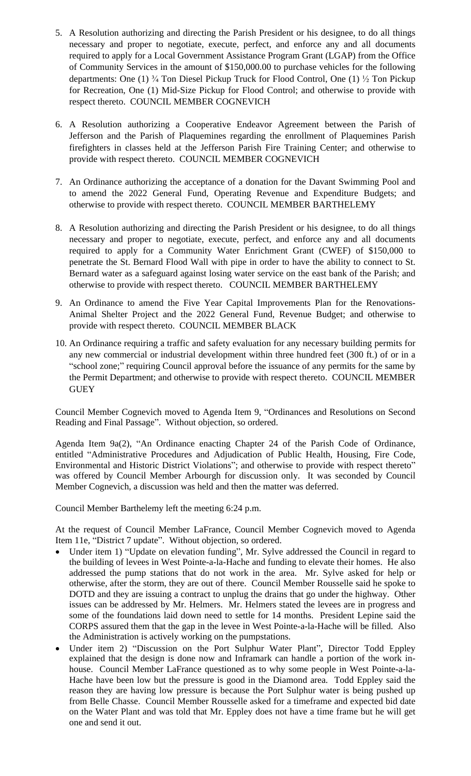- 5. A Resolution authorizing and directing the Parish President or his designee, to do all things necessary and proper to negotiate, execute, perfect, and enforce any and all documents required to apply for a Local Government Assistance Program Grant (LGAP) from the Office of Community Services in the amount of \$150,000.00 to purchase vehicles for the following departments: One (1) ¾ Ton Diesel Pickup Truck for Flood Control, One (1) ½ Ton Pickup for Recreation, One (1) Mid-Size Pickup for Flood Control; and otherwise to provide with respect thereto. COUNCIL MEMBER COGNEVICH
- 6. A Resolution authorizing a Cooperative Endeavor Agreement between the Parish of Jefferson and the Parish of Plaquemines regarding the enrollment of Plaquemines Parish firefighters in classes held at the Jefferson Parish Fire Training Center; and otherwise to provide with respect thereto. COUNCIL MEMBER COGNEVICH
- 7. An Ordinance authorizing the acceptance of a donation for the Davant Swimming Pool and to amend the 2022 General Fund, Operating Revenue and Expenditure Budgets; and otherwise to provide with respect thereto. COUNCIL MEMBER BARTHELEMY
- 8. A Resolution authorizing and directing the Parish President or his designee, to do all things necessary and proper to negotiate, execute, perfect, and enforce any and all documents required to apply for a Community Water Enrichment Grant (CWEF) of \$150,000 to penetrate the St. Bernard Flood Wall with pipe in order to have the ability to connect to St. Bernard water as a safeguard against losing water service on the east bank of the Parish; and otherwise to provide with respect thereto. COUNCIL MEMBER BARTHELEMY
- 9. An Ordinance to amend the Five Year Capital Improvements Plan for the Renovations-Animal Shelter Project and the 2022 General Fund, Revenue Budget; and otherwise to provide with respect thereto. COUNCIL MEMBER BLACK
- 10. An Ordinance requiring a traffic and safety evaluation for any necessary building permits for any new commercial or industrial development within three hundred feet (300 ft.) of or in a "school zone;" requiring Council approval before the issuance of any permits for the same by the Permit Department; and otherwise to provide with respect thereto. COUNCIL MEMBER **GUEY**

Council Member Cognevich moved to Agenda Item 9, "Ordinances and Resolutions on Second Reading and Final Passage". Without objection, so ordered.

Agenda Item 9a(2), "An Ordinance enacting Chapter 24 of the Parish Code of Ordinance, entitled "Administrative Procedures and Adjudication of Public Health, Housing, Fire Code, Environmental and Historic District Violations"; and otherwise to provide with respect thereto" was offered by Council Member Arbourgh for discussion only. It was seconded by Council Member Cognevich, a discussion was held and then the matter was deferred.

Council Member Barthelemy left the meeting 6:24 p.m.

At the request of Council Member LaFrance, Council Member Cognevich moved to Agenda Item 11e, "District 7 update". Without objection, so ordered.

- Under item 1) "Update on elevation funding", Mr. Sylve addressed the Council in regard to the building of levees in West Pointe-a-la-Hache and funding to elevate their homes. He also addressed the pump stations that do not work in the area. Mr. Sylve asked for help or otherwise, after the storm, they are out of there. Council Member Rousselle said he spoke to DOTD and they are issuing a contract to unplug the drains that go under the highway. Other issues can be addressed by Mr. Helmers. Mr. Helmers stated the levees are in progress and some of the foundations laid down need to settle for 14 months. President Lepine said the CORPS assured them that the gap in the levee in West Pointe-a-la-Hache will be filled. Also the Administration is actively working on the pumpstations.
- Under item 2) "Discussion on the Port Sulphur Water Plant", Director Todd Eppley explained that the design is done now and Inframark can handle a portion of the work inhouse. Council Member LaFrance questioned as to why some people in West Pointe-a-la-Hache have been low but the pressure is good in the Diamond area. Todd Eppley said the reason they are having low pressure is because the Port Sulphur water is being pushed up from Belle Chasse. Council Member Rousselle asked for a timeframe and expected bid date on the Water Plant and was told that Mr. Eppley does not have a time frame but he will get one and send it out.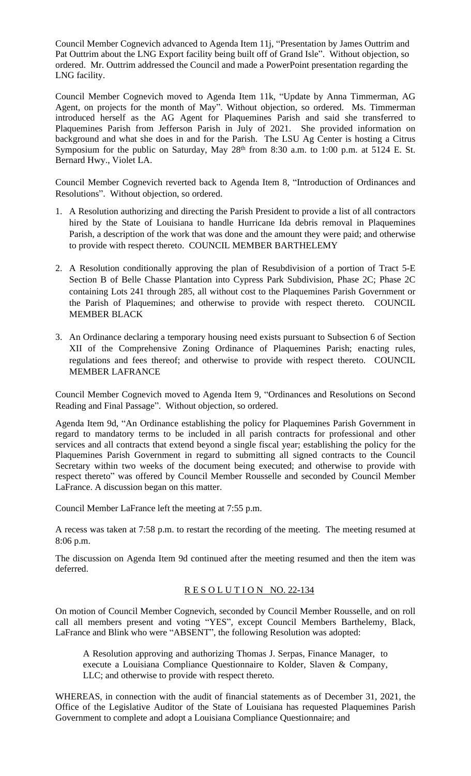Council Member Cognevich advanced to Agenda Item 11j, "Presentation by James Outtrim and Pat Outtrim about the LNG Export facility being built off of Grand Isle". Without objection, so ordered. Mr. Outtrim addressed the Council and made a PowerPoint presentation regarding the LNG facility.

Council Member Cognevich moved to Agenda Item 11k, "Update by Anna Timmerman, AG Agent, on projects for the month of May". Without objection, so ordered. Ms. Timmerman introduced herself as the AG Agent for Plaquemines Parish and said she transferred to Plaquemines Parish from Jefferson Parish in July of 2021. She provided information on background and what she does in and for the Parish. The LSU Ag Center is hosting a Citrus Symposium for the public on Saturday, May  $28<sup>th</sup>$  from 8:30 a.m. to 1:00 p.m. at 5124 E. St. Bernard Hwy., Violet LA.

Council Member Cognevich reverted back to Agenda Item 8, "Introduction of Ordinances and Resolutions". Without objection, so ordered.

- 1. A Resolution authorizing and directing the Parish President to provide a list of all contractors hired by the State of Louisiana to handle Hurricane Ida debris removal in Plaquemines Parish, a description of the work that was done and the amount they were paid; and otherwise to provide with respect thereto. COUNCIL MEMBER BARTHELEMY
- 2. A Resolution conditionally approving the plan of Resubdivision of a portion of Tract 5-E Section B of Belle Chasse Plantation into Cypress Park Subdivision, Phase 2C; Phase 2C containing Lots 241 through 285, all without cost to the Plaquemines Parish Government or the Parish of Plaquemines; and otherwise to provide with respect thereto. COUNCIL MEMBER BLACK
- 3. An Ordinance declaring a temporary housing need exists pursuant to Subsection 6 of Section XII of the Comprehensive Zoning Ordinance of Plaquemines Parish; enacting rules, regulations and fees thereof; and otherwise to provide with respect thereto. COUNCIL MEMBER LAFRANCE

Council Member Cognevich moved to Agenda Item 9, "Ordinances and Resolutions on Second Reading and Final Passage". Without objection, so ordered.

Agenda Item 9d, "An Ordinance establishing the policy for Plaquemines Parish Government in regard to mandatory terms to be included in all parish contracts for professional and other services and all contracts that extend beyond a single fiscal year; establishing the policy for the Plaquemines Parish Government in regard to submitting all signed contracts to the Council Secretary within two weeks of the document being executed; and otherwise to provide with respect thereto" was offered by Council Member Rousselle and seconded by Council Member LaFrance. A discussion began on this matter.

Council Member LaFrance left the meeting at 7:55 p.m.

A recess was taken at 7:58 p.m. to restart the recording of the meeting. The meeting resumed at 8:06 p.m.

The discussion on Agenda Item 9d continued after the meeting resumed and then the item was deferred.

## R E S O L U T I O N NO. 22-134

On motion of Council Member Cognevich, seconded by Council Member Rousselle, and on roll call all members present and voting "YES", except Council Members Barthelemy, Black, LaFrance and Blink who were "ABSENT", the following Resolution was adopted:

A Resolution approving and authorizing Thomas J. Serpas, Finance Manager, to execute a Louisiana Compliance Questionnaire to Kolder, Slaven & Company, LLC; and otherwise to provide with respect thereto.

WHEREAS, in connection with the audit of financial statements as of December 31, 2021, the Office of the Legislative Auditor of the State of Louisiana has requested Plaquemines Parish Government to complete and adopt a Louisiana Compliance Questionnaire; and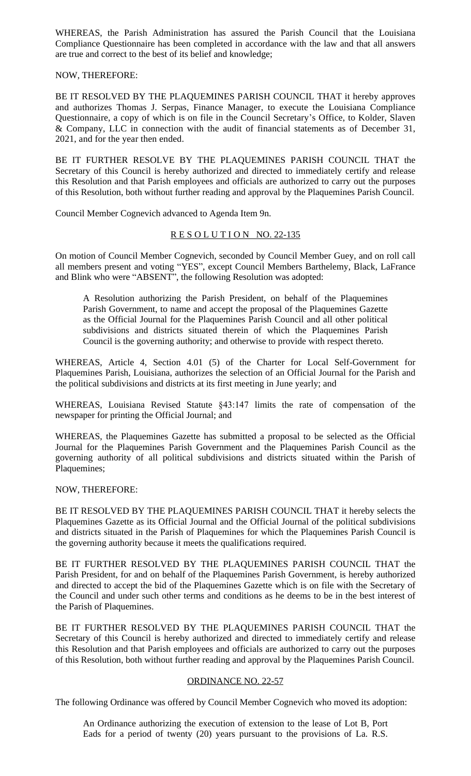WHEREAS, the Parish Administration has assured the Parish Council that the Louisiana Compliance Questionnaire has been completed in accordance with the law and that all answers are true and correct to the best of its belief and knowledge;

## NOW, THEREFORE:

BE IT RESOLVED BY THE PLAQUEMINES PARISH COUNCIL THAT it hereby approves and authorizes Thomas J. Serpas, Finance Manager, to execute the Louisiana Compliance Questionnaire, a copy of which is on file in the Council Secretary's Office, to Kolder, Slaven & Company, LLC in connection with the audit of financial statements as of December 31, 2021, and for the year then ended.

BE IT FURTHER RESOLVE BY THE PLAQUEMINES PARISH COUNCIL THAT the Secretary of this Council is hereby authorized and directed to immediately certify and release this Resolution and that Parish employees and officials are authorized to carry out the purposes of this Resolution, both without further reading and approval by the Plaquemines Parish Council.

Council Member Cognevich advanced to Agenda Item 9n.

## RESOLUTION NO. 22-135

On motion of Council Member Cognevich, seconded by Council Member Guey, and on roll call all members present and voting "YES", except Council Members Barthelemy, Black, LaFrance and Blink who were "ABSENT", the following Resolution was adopted:

A Resolution authorizing the Parish President, on behalf of the Plaquemines Parish Government, to name and accept the proposal of the Plaquemines Gazette as the Official Journal for the Plaquemines Parish Council and all other political subdivisions and districts situated therein of which the Plaquemines Parish Council is the governing authority; and otherwise to provide with respect thereto.

WHEREAS, Article 4, Section 4.01 (5) of the Charter for Local Self-Government for Plaquemines Parish, Louisiana, authorizes the selection of an Official Journal for the Parish and the political subdivisions and districts at its first meeting in June yearly; and

WHEREAS, Louisiana Revised Statute §43:147 limits the rate of compensation of the newspaper for printing the Official Journal; and

WHEREAS, the Plaquemines Gazette has submitted a proposal to be selected as the Official Journal for the Plaquemines Parish Government and the Plaquemines Parish Council as the governing authority of all political subdivisions and districts situated within the Parish of Plaquemines;

# NOW, THEREFORE:

BE IT RESOLVED BY THE PLAQUEMINES PARISH COUNCIL THAT it hereby selects the Plaquemines Gazette as its Official Journal and the Official Journal of the political subdivisions and districts situated in the Parish of Plaquemines for which the Plaquemines Parish Council is the governing authority because it meets the qualifications required.

BE IT FURTHER RESOLVED BY THE PLAQUEMINES PARISH COUNCIL THAT the Parish President, for and on behalf of the Plaquemines Parish Government, is hereby authorized and directed to accept the bid of the Plaquemines Gazette which is on file with the Secretary of the Council and under such other terms and conditions as he deems to be in the best interest of the Parish of Plaquemines.

BE IT FURTHER RESOLVED BY THE PLAQUEMINES PARISH COUNCIL THAT the Secretary of this Council is hereby authorized and directed to immediately certify and release this Resolution and that Parish employees and officials are authorized to carry out the purposes of this Resolution, both without further reading and approval by the Plaquemines Parish Council.

## ORDINANCE NO. 22-57

The following Ordinance was offered by Council Member Cognevich who moved its adoption:

An Ordinance authorizing the execution of extension to the lease of Lot B, Port Eads for a period of twenty (20) years pursuant to the provisions of La. R.S.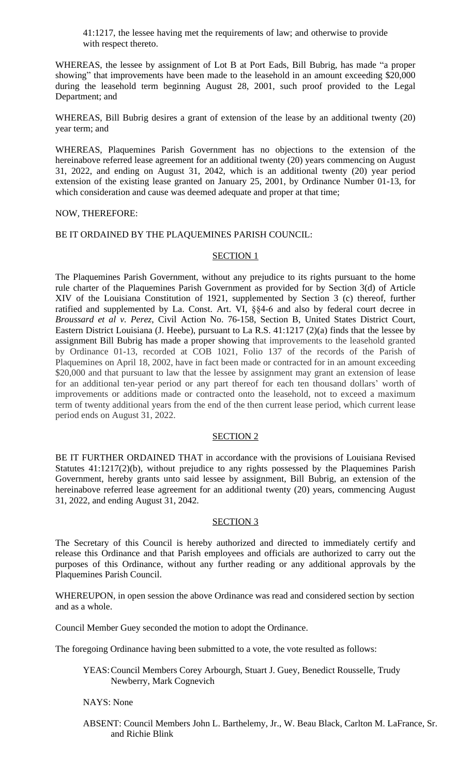41:1217, the lessee having met the requirements of law; and otherwise to provide with respect thereto.

WHEREAS, the lessee by assignment of Lot B at Port Eads, Bill Bubrig, has made "a proper showing" that improvements have been made to the leasehold in an amount exceeding \$20,000 during the leasehold term beginning August 28, 2001, such proof provided to the Legal Department; and

WHEREAS, Bill Bubrig desires a grant of extension of the lease by an additional twenty (20) year term; and

WHEREAS, Plaquemines Parish Government has no objections to the extension of the hereinabove referred lease agreement for an additional twenty (20) years commencing on August 31, 2022, and ending on August 31, 2042, which is an additional twenty (20) year period extension of the existing lease granted on January 25, 2001, by Ordinance Number 01-13, for which consideration and cause was deemed adequate and proper at that time;

#### NOW, THEREFORE:

#### BE IT ORDAINED BY THE PLAQUEMINES PARISH COUNCIL:

### SECTION<sub>1</sub>

The Plaquemines Parish Government, without any prejudice to its rights pursuant to the home rule charter of the Plaquemines Parish Government as provided for by Section 3(d) of Article XIV of the Louisiana Constitution of 1921, supplemented by Section 3 (c) thereof, further ratified and supplemented by La. Const. Art. VI, §§4-6 and also by federal court decree in *Broussard et al v. Perez*, Civil Action No. 76-158, Section B, United States District Court, Eastern District Louisiana (J. Heebe), pursuant to La R.S. 41:1217 (2)(a) finds that the lessee by assignment Bill Bubrig has made a proper showing that improvements to the leasehold granted by Ordinance 01-13, recorded at COB 1021, Folio 137 of the records of the Parish of Plaquemines on April 18, 2002, have in fact been made or contracted for in an amount exceeding \$20,000 and that pursuant to law that the lessee by assignment may grant an extension of lease for an additional ten-year period or any part thereof for each ten thousand dollars' worth of improvements or additions made or contracted onto the leasehold, not to exceed a maximum term of twenty additional years from the end of the then current lease period, which current lease period ends on August 31, 2022.

#### SECTION 2

BE IT FURTHER ORDAINED THAT in accordance with the provisions of Louisiana Revised Statutes 41:1217(2)(b), without prejudice to any rights possessed by the Plaquemines Parish Government, hereby grants unto said lessee by assignment, Bill Bubrig, an extension of the hereinabove referred lease agreement for an additional twenty (20) years, commencing August 31, 2022, and ending August 31, 2042.

#### SECTION 3

The Secretary of this Council is hereby authorized and directed to immediately certify and release this Ordinance and that Parish employees and officials are authorized to carry out the purposes of this Ordinance, without any further reading or any additional approvals by the Plaquemines Parish Council.

WHEREUPON, in open session the above Ordinance was read and considered section by section and as a whole.

Council Member Guey seconded the motion to adopt the Ordinance.

The foregoing Ordinance having been submitted to a vote, the vote resulted as follows:

YEAS:Council Members Corey Arbourgh, Stuart J. Guey, Benedict Rousselle, Trudy Newberry, Mark Cognevich

#### NAYS: None

ABSENT: Council Members John L. Barthelemy, Jr., W. Beau Black, Carlton M. LaFrance, Sr. and Richie Blink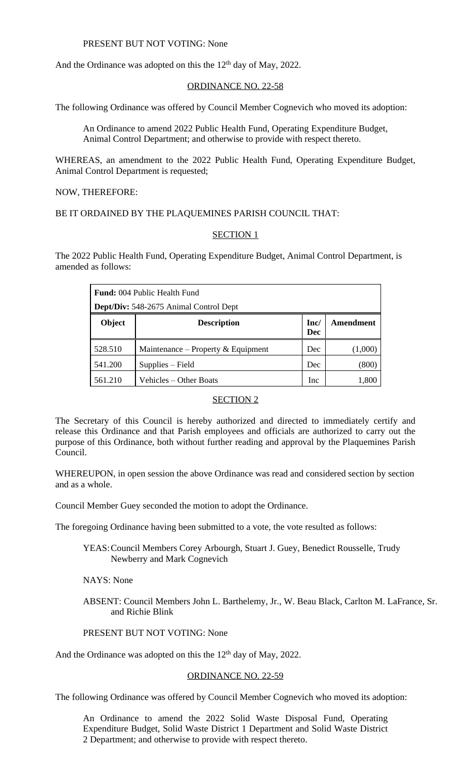PRESENT BUT NOT VOTING: None

And the Ordinance was adopted on this the  $12<sup>th</sup>$  day of May, 2022.

### ORDINANCE NO. 22-58

The following Ordinance was offered by Council Member Cognevich who moved its adoption:

An Ordinance to amend 2022 Public Health Fund, Operating Expenditure Budget, Animal Control Department; and otherwise to provide with respect thereto.

WHEREAS, an amendment to the 2022 Public Health Fund, Operating Expenditure Budget, Animal Control Department is requested;

NOW, THEREFORE:

BE IT ORDAINED BY THE PLAQUEMINES PARISH COUNCIL THAT:

### SECTION 1

The 2022 Public Health Fund, Operating Expenditure Budget, Animal Control Department, is amended as follows:

| <b>Fund:</b> 004 Public Health Fund    |                                    |            |           |
|----------------------------------------|------------------------------------|------------|-----------|
| Dept/Div: 548-2675 Animal Control Dept |                                    |            |           |
| Object                                 | <b>Description</b>                 | Inc/       | Amendment |
|                                        |                                    | <b>Dec</b> |           |
| 528.510                                | Maintenance – Property & Equipment | Dec        | (1,000)   |
| 541.200                                | Supplies – Field                   | Dec        | (800)     |
| 561.210                                | Vehicles – Other Boats             | <b>Inc</b> | 1,800     |

#### SECTION 2

The Secretary of this Council is hereby authorized and directed to immediately certify and release this Ordinance and that Parish employees and officials are authorized to carry out the purpose of this Ordinance, both without further reading and approval by the Plaquemines Parish Council.

WHEREUPON, in open session the above Ordinance was read and considered section by section and as a whole.

Council Member Guey seconded the motion to adopt the Ordinance.

The foregoing Ordinance having been submitted to a vote, the vote resulted as follows:

YEAS:Council Members Corey Arbourgh, Stuart J. Guey, Benedict Rousselle, Trudy Newberry and Mark Cognevich

NAYS: None

ABSENT: Council Members John L. Barthelemy, Jr., W. Beau Black, Carlton M. LaFrance, Sr. and Richie Blink

# PRESENT BUT NOT VOTING: None

And the Ordinance was adopted on this the 12<sup>th</sup> day of May, 2022.

#### ORDINANCE NO. 22-59

The following Ordinance was offered by Council Member Cognevich who moved its adoption:

An Ordinance to amend the 2022 Solid Waste Disposal Fund, Operating Expenditure Budget, Solid Waste District 1 Department and Solid Waste District 2 Department; and otherwise to provide with respect thereto.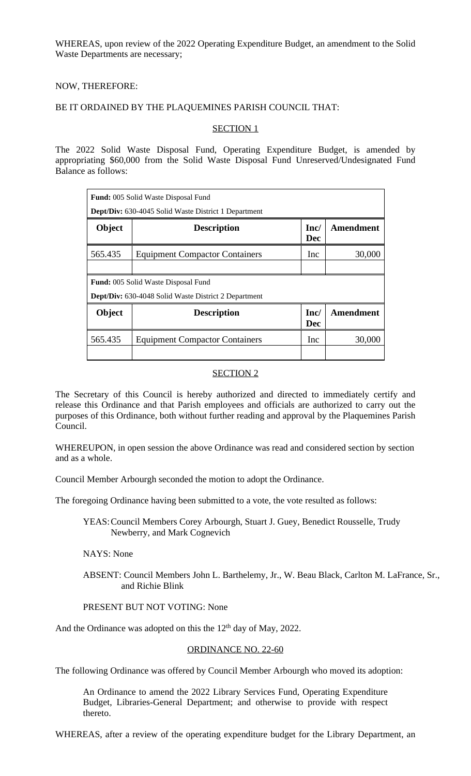WHEREAS, upon review of the 2022 Operating Expenditure Budget, an amendment to the Solid Waste Departments are necessary;

### NOW, THEREFORE:

#### BE IT ORDAINED BY THE PLAQUEMINES PARISH COUNCIL THAT:

### SECTION 1

The 2022 Solid Waste Disposal Fund, Operating Expenditure Budget, is amended by appropriating \$60,000 from the Solid Waste Disposal Fund Unreserved/Undesignated Fund Balance as follows:

|                                                             | <b>Fund:</b> 005 Solid Waste Disposal Fund |                    |           |
|-------------------------------------------------------------|--------------------------------------------|--------------------|-----------|
| Dept/Div: 630-4045 Solid Waste District 1 Department        |                                            |                    |           |
| Object                                                      | <b>Description</b>                         | Inc/<br><b>Dec</b> | Amendment |
| 565.435                                                     | <b>Equipment Compactor Containers</b>      | Inc                | 30,000    |
|                                                             |                                            |                    |           |
|                                                             | <b>Fund:</b> 005 Solid Waste Disposal Fund |                    |           |
| <b>Dept/Div:</b> 630-4048 Solid Waste District 2 Department |                                            |                    |           |
| Object                                                      | <b>Description</b>                         | Inc/<br><b>Dec</b> | Amendment |
| 565.435                                                     | <b>Equipment Compactor Containers</b>      | Inc                | 30,000    |
|                                                             |                                            |                    |           |

### SECTION 2

The Secretary of this Council is hereby authorized and directed to immediately certify and release this Ordinance and that Parish employees and officials are authorized to carry out the purposes of this Ordinance, both without further reading and approval by the Plaquemines Parish Council.

WHEREUPON, in open session the above Ordinance was read and considered section by section and as a whole.

Council Member Arbourgh seconded the motion to adopt the Ordinance.

The foregoing Ordinance having been submitted to a vote, the vote resulted as follows:

YEAS:Council Members Corey Arbourgh, Stuart J. Guey, Benedict Rousselle, Trudy Newberry, and Mark Cognevich

NAYS: None

ABSENT: Council Members John L. Barthelemy, Jr., W. Beau Black, Carlton M. LaFrance, Sr., and Richie Blink

## PRESENT BUT NOT VOTING: None

And the Ordinance was adopted on this the  $12<sup>th</sup>$  day of May, 2022.

## ORDINANCE NO. 22-60

The following Ordinance was offered by Council Member Arbourgh who moved its adoption:

An Ordinance to amend the 2022 Library Services Fund, Operating Expenditure Budget, Libraries-General Department; and otherwise to provide with respect thereto.

WHEREAS, after a review of the operating expenditure budget for the Library Department, an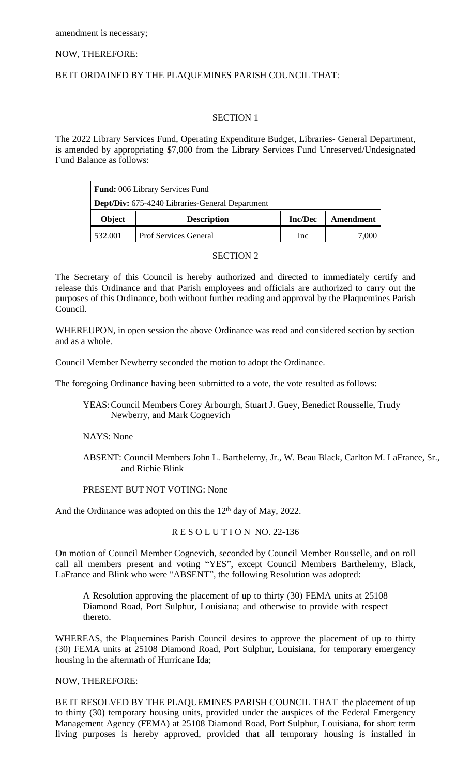### NOW, THEREFORE:

## BE IT ORDAINED BY THE PLAQUEMINES PARISH COUNCIL THAT:

# SECTION 1

The 2022 Library Services Fund, Operating Expenditure Budget, Libraries- General Department, is amended by appropriating \$7,000 from the Library Services Fund Unreserved/Undesignated Fund Balance as follows:

| Fund: 006 Library Services Fund                        |                              |                |                  |
|--------------------------------------------------------|------------------------------|----------------|------------------|
| <b>Dept/Div:</b> 675-4240 Libraries-General Department |                              |                |                  |
| Object                                                 | <b>Description</b>           | <b>Inc/Dec</b> | <b>Amendment</b> |
| 532.001                                                | <b>Prof Services General</b> | Inc            |                  |

## SECTION 2

The Secretary of this Council is hereby authorized and directed to immediately certify and release this Ordinance and that Parish employees and officials are authorized to carry out the purposes of this Ordinance, both without further reading and approval by the Plaquemines Parish Council.

WHEREUPON, in open session the above Ordinance was read and considered section by section and as a whole.

Council Member Newberry seconded the motion to adopt the Ordinance.

The foregoing Ordinance having been submitted to a vote, the vote resulted as follows:

YEAS:Council Members Corey Arbourgh, Stuart J. Guey, Benedict Rousselle, Trudy Newberry, and Mark Cognevich

## NAYS: None

ABSENT: Council Members John L. Barthelemy, Jr., W. Beau Black, Carlton M. LaFrance, Sr., and Richie Blink

#### PRESENT BUT NOT VOTING: None

And the Ordinance was adopted on this the 12<sup>th</sup> day of May, 2022.

## R E S O L U T I O N NO. 22-136

On motion of Council Member Cognevich, seconded by Council Member Rousselle, and on roll call all members present and voting "YES", except Council Members Barthelemy, Black, LaFrance and Blink who were "ABSENT", the following Resolution was adopted:

A Resolution approving the placement of up to thirty (30) FEMA units at 25108 Diamond Road, Port Sulphur, Louisiana; and otherwise to provide with respect thereto.

WHEREAS, the Plaquemines Parish Council desires to approve the placement of up to thirty (30) FEMA units at 25108 Diamond Road, Port Sulphur, Louisiana, for temporary emergency housing in the aftermath of Hurricane Ida;

#### NOW, THEREFORE:

BE IT RESOLVED BY THE PLAQUEMINES PARISH COUNCIL THAT the placement of up to thirty (30) temporary housing units, provided under the auspices of the Federal Emergency Management Agency (FEMA) at 25108 Diamond Road, Port Sulphur, Louisiana, for short term living purposes is hereby approved, provided that all temporary housing is installed in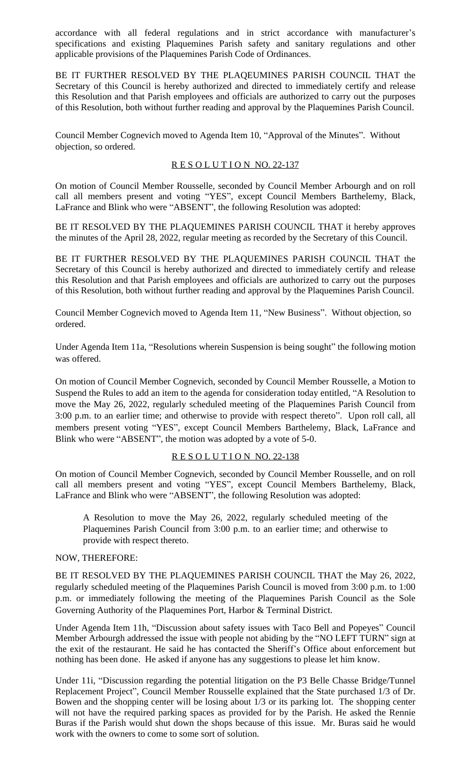accordance with all federal regulations and in strict accordance with manufacturer's specifications and existing Plaquemines Parish safety and sanitary regulations and other applicable provisions of the Plaquemines Parish Code of Ordinances.

BE IT FURTHER RESOLVED BY THE PLAQEUMINES PARISH COUNCIL THAT the Secretary of this Council is hereby authorized and directed to immediately certify and release this Resolution and that Parish employees and officials are authorized to carry out the purposes of this Resolution, both without further reading and approval by the Plaquemines Parish Council.

Council Member Cognevich moved to Agenda Item 10, "Approval of the Minutes". Without objection, so ordered.

# RESOLUTION NO. 22-137

On motion of Council Member Rousselle, seconded by Council Member Arbourgh and on roll call all members present and voting "YES", except Council Members Barthelemy, Black, LaFrance and Blink who were "ABSENT", the following Resolution was adopted:

BE IT RESOLVED BY THE PLAQUEMINES PARISH COUNCIL THAT it hereby approves the minutes of the April 28, 2022, regular meeting as recorded by the Secretary of this Council.

BE IT FURTHER RESOLVED BY THE PLAQUEMINES PARISH COUNCIL THAT the Secretary of this Council is hereby authorized and directed to immediately certify and release this Resolution and that Parish employees and officials are authorized to carry out the purposes of this Resolution, both without further reading and approval by the Plaquemines Parish Council.

Council Member Cognevich moved to Agenda Item 11, "New Business". Without objection, so ordered.

Under Agenda Item 11a, "Resolutions wherein Suspension is being sought" the following motion was offered.

On motion of Council Member Cognevich, seconded by Council Member Rousselle, a Motion to Suspend the Rules to add an item to the agenda for consideration today entitled, "A Resolution to move the May 26, 2022, regularly scheduled meeting of the Plaquemines Parish Council from 3:00 p.m. to an earlier time; and otherwise to provide with respect thereto". Upon roll call, all members present voting "YES", except Council Members Barthelemy, Black, LaFrance and Blink who were "ABSENT", the motion was adopted by a vote of 5-0.

## RESOLUTION NO. 22-138

On motion of Council Member Cognevich, seconded by Council Member Rousselle, and on roll call all members present and voting "YES", except Council Members Barthelemy, Black, LaFrance and Blink who were "ABSENT", the following Resolution was adopted:

A Resolution to move the May 26, 2022, regularly scheduled meeting of the Plaquemines Parish Council from 3:00 p.m. to an earlier time; and otherwise to provide with respect thereto.

## NOW, THEREFORE:

BE IT RESOLVED BY THE PLAQUEMINES PARISH COUNCIL THAT the May 26, 2022, regularly scheduled meeting of the Plaquemines Parish Council is moved from 3:00 p.m. to 1:00 p.m. or immediately following the meeting of the Plaquemines Parish Council as the Sole Governing Authority of the Plaquemines Port, Harbor & Terminal District.

Under Agenda Item 11h, "Discussion about safety issues with Taco Bell and Popeyes" Council Member Arbourgh addressed the issue with people not abiding by the "NO LEFT TURN" sign at the exit of the restaurant. He said he has contacted the Sheriff's Office about enforcement but nothing has been done. He asked if anyone has any suggestions to please let him know.

Under 11i, "Discussion regarding the potential litigation on the P3 Belle Chasse Bridge/Tunnel Replacement Project", Council Member Rousselle explained that the State purchased 1/3 of Dr. Bowen and the shopping center will be losing about 1/3 or its parking lot. The shopping center will not have the required parking spaces as provided for by the Parish. He asked the Rennie Buras if the Parish would shut down the shops because of this issue. Mr. Buras said he would work with the owners to come to some sort of solution.